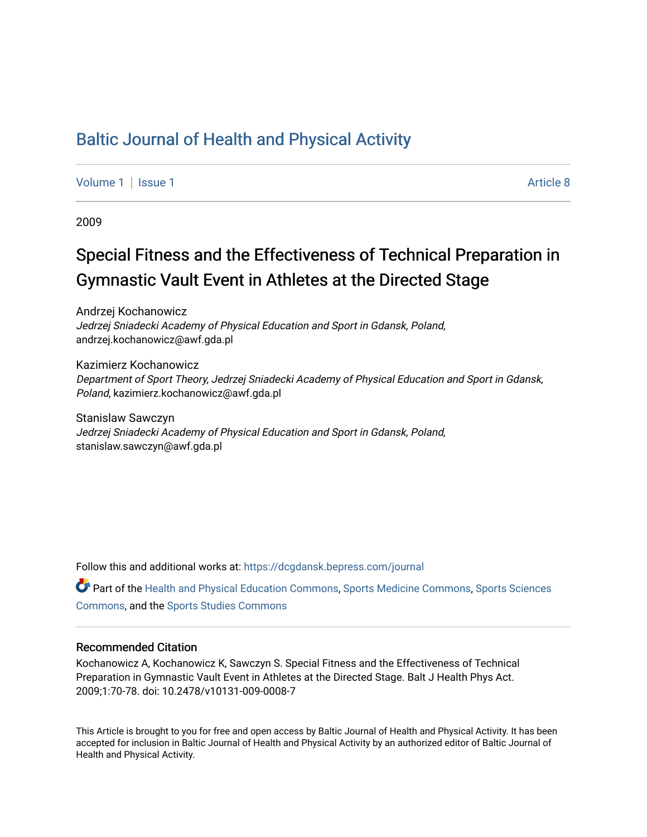## [Baltic Journal of Health and Physical Activity](https://dcgdansk.bepress.com/journal)

[Volume 1](https://dcgdansk.bepress.com/journal/vol1) | [Issue 1](https://dcgdansk.bepress.com/journal/vol1/iss1) Article 8

2009

# Special Fitness and the Effectiveness of Technical Preparation in Gymnastic Vault Event in Athletes at the Directed Stage

Andrzej Kochanowicz Jedrzej Sniadecki Academy of Physical Education and Sport in Gdansk, Poland, andrzej.kochanowicz@awf.gda.pl

Kazimierz Kochanowicz Department of Sport Theory, Jedrzej Sniadecki Academy of Physical Education and Sport in Gdansk, Poland, kazimierz.kochanowicz@awf.gda.pl

Stanislaw Sawczyn Jedrzej Sniadecki Academy of Physical Education and Sport in Gdansk, Poland, stanislaw.sawczyn@awf.gda.pl

Follow this and additional works at: [https://dcgdansk.bepress.com/journal](https://dcgdansk.bepress.com/journal?utm_source=dcgdansk.bepress.com%2Fjournal%2Fvol1%2Fiss1%2F8&utm_medium=PDF&utm_campaign=PDFCoverPages)

Part of the [Health and Physical Education Commons](http://network.bepress.com/hgg/discipline/1327?utm_source=dcgdansk.bepress.com%2Fjournal%2Fvol1%2Fiss1%2F8&utm_medium=PDF&utm_campaign=PDFCoverPages), [Sports Medicine Commons,](http://network.bepress.com/hgg/discipline/1331?utm_source=dcgdansk.bepress.com%2Fjournal%2Fvol1%2Fiss1%2F8&utm_medium=PDF&utm_campaign=PDFCoverPages) [Sports Sciences](http://network.bepress.com/hgg/discipline/759?utm_source=dcgdansk.bepress.com%2Fjournal%2Fvol1%2Fiss1%2F8&utm_medium=PDF&utm_campaign=PDFCoverPages) [Commons](http://network.bepress.com/hgg/discipline/759?utm_source=dcgdansk.bepress.com%2Fjournal%2Fvol1%2Fiss1%2F8&utm_medium=PDF&utm_campaign=PDFCoverPages), and the [Sports Studies Commons](http://network.bepress.com/hgg/discipline/1198?utm_source=dcgdansk.bepress.com%2Fjournal%2Fvol1%2Fiss1%2F8&utm_medium=PDF&utm_campaign=PDFCoverPages) 

#### Recommended Citation

Kochanowicz A, Kochanowicz K, Sawczyn S. Special Fitness and the Effectiveness of Technical Preparation in Gymnastic Vault Event in Athletes at the Directed Stage. Balt J Health Phys Act. 2009;1:70-78. doi: 10.2478/v10131-009-0008-7

This Article is brought to you for free and open access by Baltic Journal of Health and Physical Activity. It has been accepted for inclusion in Baltic Journal of Health and Physical Activity by an authorized editor of Baltic Journal of Health and Physical Activity.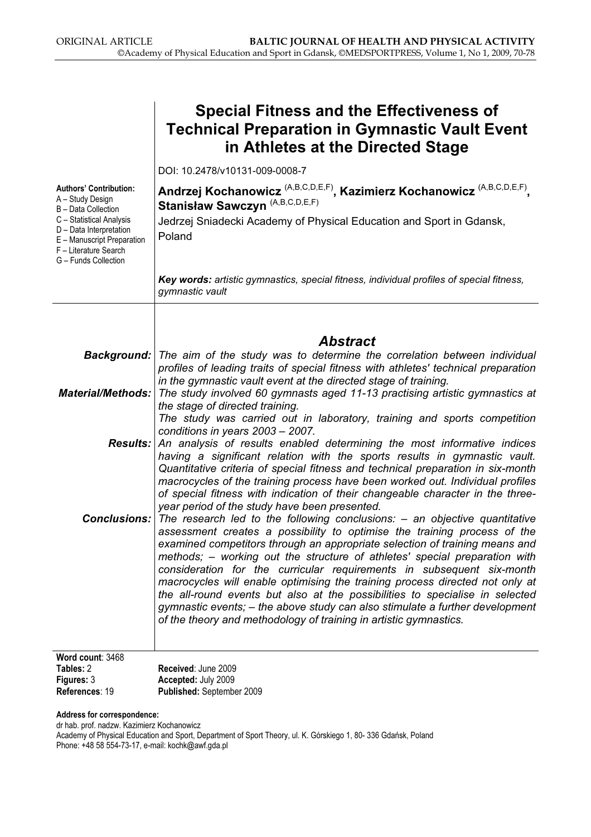|                                                                                                                                                                                                                | <b>Special Fitness and the Effectiveness of</b><br><b>Technical Preparation in Gymnastic Vault Event</b><br>in Athletes at the Directed Stage                                                                                                                                                                                                                                                                                                                                                                                                                                                                                                                                                                       |
|----------------------------------------------------------------------------------------------------------------------------------------------------------------------------------------------------------------|---------------------------------------------------------------------------------------------------------------------------------------------------------------------------------------------------------------------------------------------------------------------------------------------------------------------------------------------------------------------------------------------------------------------------------------------------------------------------------------------------------------------------------------------------------------------------------------------------------------------------------------------------------------------------------------------------------------------|
|                                                                                                                                                                                                                | DOI: 10.2478/v10131-009-0008-7                                                                                                                                                                                                                                                                                                                                                                                                                                                                                                                                                                                                                                                                                      |
| <b>Authors' Contribution:</b><br>A - Study Design<br>B - Data Collection<br>C - Statistical Analysis<br>D - Data Interpretation<br>E - Manuscript Preparation<br>F - Literature Search<br>G - Funds Collection | Andrzej Kochanowicz <sup>(A,B,C,D,E,F)</sup> , Kazimierz Kochanowicz <sup>(A,B,C,D,E,F)</sup> ,<br>Stanisław Sawczyn (A,B,C,D,E,F)<br>Jedrzej Sniadecki Academy of Physical Education and Sport in Gdansk,<br>Poland                                                                                                                                                                                                                                                                                                                                                                                                                                                                                                |
|                                                                                                                                                                                                                | Key words: artistic gymnastics, special fitness, individual profiles of special fitness,<br>gymnastic vault                                                                                                                                                                                                                                                                                                                                                                                                                                                                                                                                                                                                         |
|                                                                                                                                                                                                                | <b>Abstract</b>                                                                                                                                                                                                                                                                                                                                                                                                                                                                                                                                                                                                                                                                                                     |
|                                                                                                                                                                                                                | Background:   The aim of the study was to determine the correlation between individual<br>profiles of leading traits of special fitness with athletes' technical preparation<br>in the gymnastic vault event at the directed stage of training.                                                                                                                                                                                                                                                                                                                                                                                                                                                                     |
| <b>Material/Methods:</b>                                                                                                                                                                                       | The study involved 60 gymnasts aged 11-13 practising artistic gymnastics at<br>the stage of directed training.<br>The study was carried out in laboratory, training and sports competition<br>conditions in years $2003 - 2007$ .                                                                                                                                                                                                                                                                                                                                                                                                                                                                                   |
| <b>Results:</b>                                                                                                                                                                                                | An analysis of results enabled determining the most informative indices<br>having a significant relation with the sports results in gymnastic vault.<br>Quantitative criteria of special fitness and technical preparation in six-month<br>macrocycles of the training process have been worked out. Individual profiles<br>of special fitness with indication of their changeable character in the three-<br>year period of the study have been presented.                                                                                                                                                                                                                                                         |
| Conclusions:                                                                                                                                                                                                   | The research led to the following conclusions: $-$ an objective quantitative<br>assessment creates a possibility to optimise the training process of the<br>examined competitors through an appropriate selection of training means and<br>methods; – working out the structure of athletes' special preparation with<br>consideration for the curricular requirements in subsequent six-month<br>macrocycles will enable optimising the training process directed not only at<br>the all-round events but also at the possibilities to specialise in selected<br>gymnastic events; - the above study can also stimulate a further development<br>of the theory and methodology of training in artistic gymnastics. |
| Word count: 3468<br>Tables: 2                                                                                                                                                                                  | Received: June 2009                                                                                                                                                                                                                                                                                                                                                                                                                                                                                                                                                                                                                                                                                                 |

| Tables: 2      | <b>Received: June 2009</b> |
|----------------|----------------------------|
| Figures: 3     | Accepted: July 2009        |
| References: 19 | Published: September 2009  |

Address for correspondence:

dr hab. prof. nadzw. Kazimierz Kochanowicz Academy of Physical Education and Sport, Department of Sport Theory, ul. K. Górskiego 1, 80- 336 Gdańsk, Poland Phone: +48 58 554-73-17, e-mail: kochk@awf.gda.pl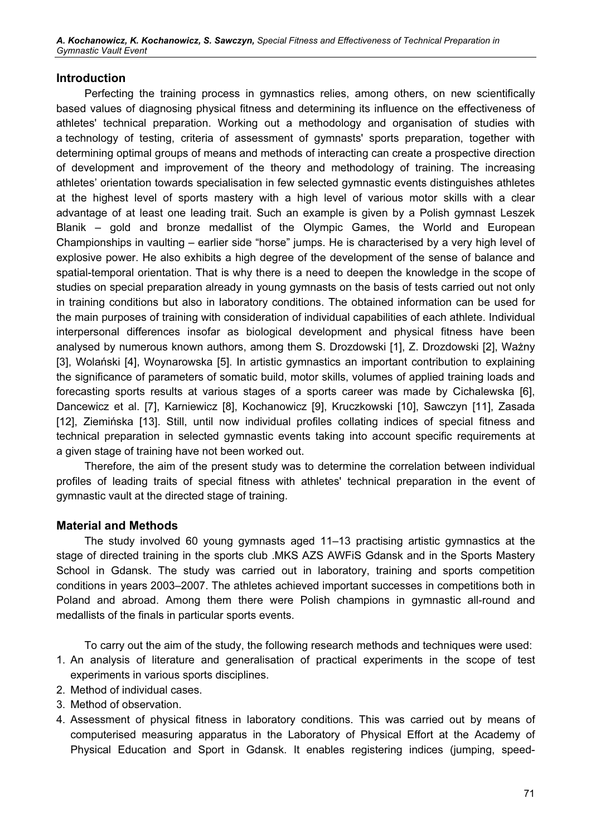#### Introduction

Perfecting the training process in gymnastics relies, among others, on new scientifically based values of diagnosing physical fitness and determining its influence on the effectiveness of athletes' technical preparation. Working out a methodology and organisation of studies with a technology of testing, criteria of assessment of gymnasts' sports preparation, together with determining optimal groups of means and methods of interacting can create a prospective direction of development and improvement of the theory and methodology of training. The increasing athletes' orientation towards specialisation in few selected gymnastic events distinguishes athletes at the highest level of sports mastery with a high level of various motor skills with a clear advantage of at least one leading trait. Such an example is given by a Polish gymnast Leszek Blanik – gold and bronze medallist of the Olympic Games, the World and European Championships in vaulting – earlier side "horse" jumps. He is characterised by a very high level of explosive power. He also exhibits a high degree of the development of the sense of balance and spatial-temporal orientation. That is why there is a need to deepen the knowledge in the scope of studies on special preparation already in young gymnasts on the basis of tests carried out not only in training conditions but also in laboratory conditions. The obtained information can be used for the main purposes of training with consideration of individual capabilities of each athlete. Individual interpersonal differences insofar as biological development and physical fitness have been analysed by numerous known authors, among them S. Drozdowski [1], Z. Drozdowski [2], Ważny [3], Wolański [4], Woynarowska [5]. In artistic gymnastics an important contribution to explaining the significance of parameters of somatic build, motor skills, volumes of applied training loads and forecasting sports results at various stages of a sports career was made by Cichalewska [6], Dancewicz et al. [7], Karniewicz [8], Kochanowicz [9], Kruczkowski [10], Sawczyn [11], Zasada [12], Ziemińska [13]. Still, until now individual profiles collating indices of special fitness and technical preparation in selected gymnastic events taking into account specific requirements at a given stage of training have not been worked out.

Therefore, the aim of the present study was to determine the correlation between individual profiles of leading traits of special fitness with athletes' technical preparation in the event of gymnastic vault at the directed stage of training.

#### Material and Methods

The study involved 60 young gymnasts aged 11–13 practising artistic gymnastics at the stage of directed training in the sports club .MKS AZS AWFiS Gdansk and in the Sports Mastery School in Gdansk. The study was carried out in laboratory, training and sports competition conditions in years 2003–2007. The athletes achieved important successes in competitions both in Poland and abroad. Among them there were Polish champions in gymnastic all-round and medallists of the finals in particular sports events.

To carry out the aim of the study, the following research methods and techniques were used:

- 1. An analysis of literature and generalisation of practical experiments in the scope of test experiments in various sports disciplines.
- 2. Method of individual cases.
- 3. Method of observation.
- 4. Assessment of physical fitness in laboratory conditions. This was carried out by means of computerised measuring apparatus in the Laboratory of Physical Effort at the Academy of Physical Education and Sport in Gdansk. It enables registering indices (jumping, speed-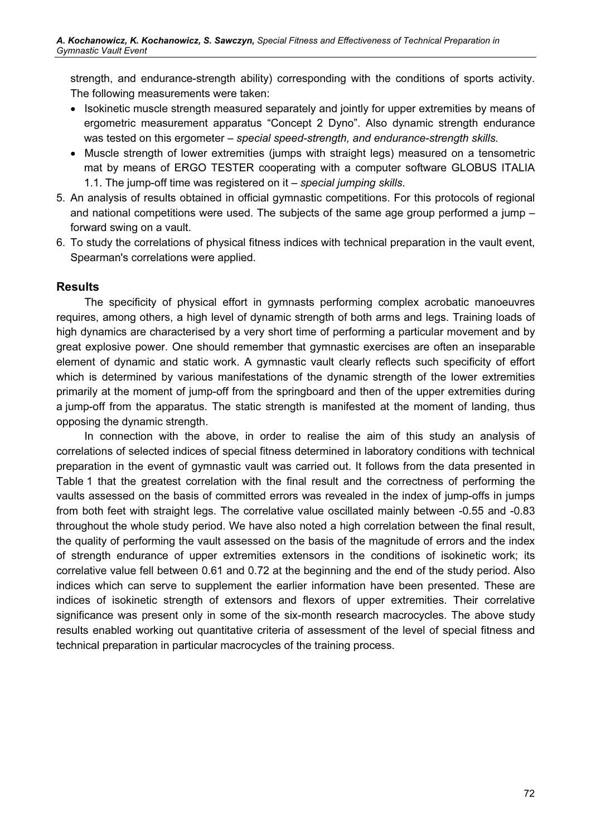strength, and endurance-strength ability) corresponding with the conditions of sports activity. The following measurements were taken:

- Isokinetic muscle strength measured separately and jointly for upper extremities by means of ergometric measurement apparatus "Concept 2 Dyno". Also dynamic strength endurance was tested on this ergometer – special speed-strength, and endurance-strength skills.
- Muscle strength of lower extremities (jumps with straight legs) measured on a tensometric mat by means of ERGO TESTER cooperating with a computer software GLOBUS ITALIA 1.1. The jump-off time was registered on it – special jumping skills.
- 5. An analysis of results obtained in official gymnastic competitions. For this protocols of regional and national competitions were used. The subjects of the same age group performed a jump – forward swing on a vault.
- 6. To study the correlations of physical fitness indices with technical preparation in the vault event, Spearman's correlations were applied.

#### Results

The specificity of physical effort in gymnasts performing complex acrobatic manoeuvres requires, among others, a high level of dynamic strength of both arms and legs. Training loads of high dynamics are characterised by a very short time of performing a particular movement and by great explosive power. One should remember that gymnastic exercises are often an inseparable element of dynamic and static work. A gymnastic vault clearly reflects such specificity of effort which is determined by various manifestations of the dynamic strength of the lower extremities primarily at the moment of jump-off from the springboard and then of the upper extremities during a jump-off from the apparatus. The static strength is manifested at the moment of landing, thus opposing the dynamic strength.

In connection with the above, in order to realise the aim of this study an analysis of correlations of selected indices of special fitness determined in laboratory conditions with technical preparation in the event of gymnastic vault was carried out. It follows from the data presented in Table 1 that the greatest correlation with the final result and the correctness of performing the vaults assessed on the basis of committed errors was revealed in the index of jump-offs in jumps from both feet with straight legs. The correlative value oscillated mainly between -0.55 and -0.83 throughout the whole study period. We have also noted a high correlation between the final result, the quality of performing the vault assessed on the basis of the magnitude of errors and the index of strength endurance of upper extremities extensors in the conditions of isokinetic work; its correlative value fell between 0.61 and 0.72 at the beginning and the end of the study period. Also indices which can serve to supplement the earlier information have been presented. These are indices of isokinetic strength of extensors and flexors of upper extremities. Their correlative significance was present only in some of the six-month research macrocycles. The above study results enabled working out quantitative criteria of assessment of the level of special fitness and technical preparation in particular macrocycles of the training process.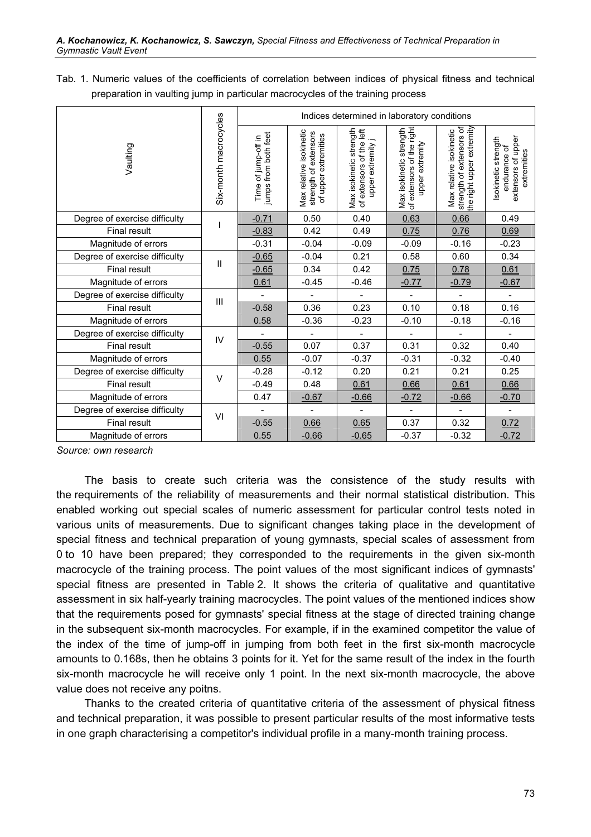Tab. 1. Numeric values of the coefficients of correlation between indices of physical fitness and technical preparation in vaulting jump in particular macrocycles of the training process

|                               | Six-month macrocycles | Indices determined in laboratory conditions |                                                                          |                                                                          |                                                                         |                                                                                  |                                                                          |  |
|-------------------------------|-----------------------|---------------------------------------------|--------------------------------------------------------------------------|--------------------------------------------------------------------------|-------------------------------------------------------------------------|----------------------------------------------------------------------------------|--------------------------------------------------------------------------|--|
| Vaulting                      |                       | jumps from both feet<br>Time of jump-off in | Max relative isokinetic<br>strength of extensors<br>of upper extremities | Max isokinetic strength<br>of extensors of the left<br>upper extremity j | Max isokinetic strength<br>of extensors of the right<br>upper extremity | the right upper extremity<br>strength of extensors of<br>Max relative isokinetic | extensors of upper<br>Isokinetic strength<br>endurance of<br>extremities |  |
| Degree of exercise difficulty |                       | $-0.71$                                     | 0.50                                                                     | 0.40                                                                     | 0.63                                                                    | 0.66                                                                             | 0.49                                                                     |  |
| <b>Final result</b>           |                       | $-0.83$                                     | 0.42                                                                     | 0.49                                                                     | 0.75                                                                    | 0.76                                                                             | 0.69                                                                     |  |
| Magnitude of errors           |                       | $-0.31$                                     | $-0.04$                                                                  | $-0.09$                                                                  | $-0.09$                                                                 | $-0.16$                                                                          | $-0.23$                                                                  |  |
| Degree of exercise difficulty | $\mathbf{I}$          | $-0.65$                                     | $-0.04$                                                                  | 0.21                                                                     | 0.58                                                                    | 0.60                                                                             | 0.34                                                                     |  |
| <b>Final result</b>           |                       | $-0.65$                                     | 0.34                                                                     | 0.42                                                                     | 0.75                                                                    | 0.78                                                                             | 0.61                                                                     |  |
| Magnitude of errors           |                       | 0.61                                        | $-0.45$                                                                  | $-0.46$                                                                  | $-0.77$                                                                 | $-0.79$                                                                          | $-0.67$                                                                  |  |
| Degree of exercise difficulty | Ш<br>IV               |                                             |                                                                          |                                                                          |                                                                         |                                                                                  |                                                                          |  |
| <b>Final result</b>           |                       | $-0.58$                                     | 0.36                                                                     | 0.23                                                                     | 0.10                                                                    | 0.18                                                                             | 0.16                                                                     |  |
| Magnitude of errors           |                       | 0.58                                        | $-0.36$                                                                  | $-0.23$                                                                  | $-0.10$                                                                 | $-0.18$                                                                          | $-0.16$                                                                  |  |
| Degree of exercise difficulty |                       |                                             | $\frac{1}{2}$                                                            | $\overline{\phantom{a}}$                                                 | $\frac{1}{2}$                                                           | $\overline{\phantom{0}}$                                                         | $\frac{1}{2}$                                                            |  |
| <b>Final result</b>           |                       | $-0.55$                                     | 0.07                                                                     | 0.37                                                                     | 0.31                                                                    | 0.32                                                                             | 0.40                                                                     |  |
| Magnitude of errors           |                       | 0.55                                        | $-0.07$                                                                  | $-0.37$                                                                  | $-0.31$                                                                 | $-0.32$                                                                          | $-0.40$                                                                  |  |
| Degree of exercise difficulty | $\vee$                | $-0.28$                                     | $-0.12$                                                                  | 0.20                                                                     | 0.21                                                                    | 0.21                                                                             | 0.25                                                                     |  |
| <b>Final result</b>           |                       | $-0.49$                                     | 0.48                                                                     | 0.61                                                                     | 0.66                                                                    | 0.61                                                                             | 0.66                                                                     |  |
| Magnitude of errors           |                       | 0.47                                        | $-0.67$                                                                  | $-0.66$                                                                  | $-0.72$                                                                 | $-0.66$                                                                          | $-0.70$                                                                  |  |
| Degree of exercise difficulty | VI                    |                                             | $\overline{a}$                                                           |                                                                          |                                                                         |                                                                                  |                                                                          |  |
| Final result                  |                       | $-0.55$                                     | 0.66                                                                     | 0.65                                                                     | 0.37                                                                    | 0.32                                                                             | 0.72                                                                     |  |
| Magnitude of errors           |                       | 0.55                                        | $-0.66$                                                                  | $-0.65$                                                                  | $-0.37$                                                                 | $-0.32$                                                                          | $-0.72$                                                                  |  |

Source: own research

The basis to create such criteria was the consistence of the study results with the requirements of the reliability of measurements and their normal statistical distribution. This enabled working out special scales of numeric assessment for particular control tests noted in various units of measurements. Due to significant changes taking place in the development of special fitness and technical preparation of young gymnasts, special scales of assessment from 0 to 10 have been prepared; they corresponded to the requirements in the given six-month macrocycle of the training process. The point values of the most significant indices of gymnasts' special fitness are presented in Table 2. It shows the criteria of qualitative and quantitative assessment in six half-yearly training macrocycles. The point values of the mentioned indices show that the requirements posed for gymnasts' special fitness at the stage of directed training change in the subsequent six-month macrocycles. For example, if in the examined competitor the value of the index of the time of jump-off in jumping from both feet in the first six-month macrocycle amounts to 0.168s, then he obtains 3 points for it. Yet for the same result of the index in the fourth six-month macrocycle he will receive only 1 point. In the next six-month macrocycle, the above value does not receive any poitns.

Thanks to the created criteria of quantitative criteria of the assessment of physical fitness and technical preparation, it was possible to present particular results of the most informative tests in one graph characterising a competitor's individual profile in a many-month training process.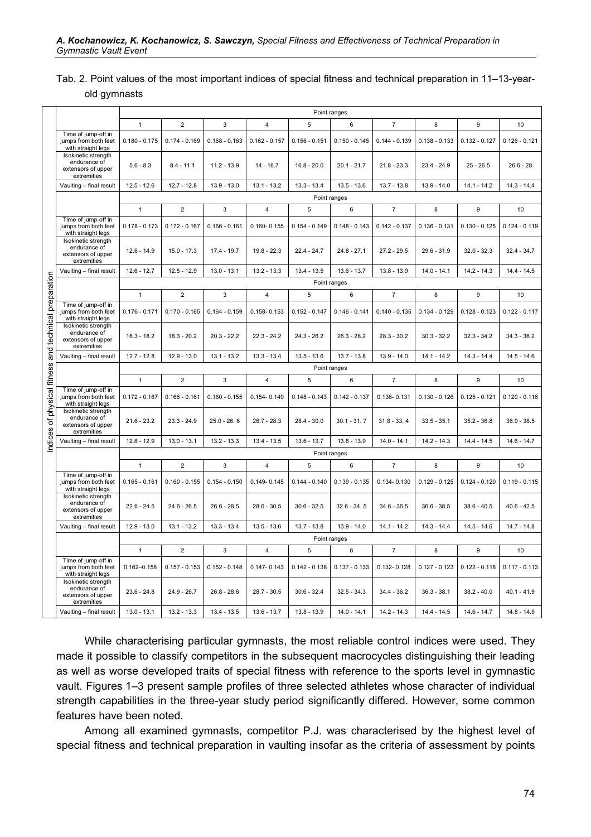#### Tab. 2. Point values of the most important indices of special fitness and technical preparation in 11–13-yearold gymnasts

|                                            |                                                                                 | Point ranges    |                 |                 |                 |                 |                 |                  |                 |                 |                 |
|--------------------------------------------|---------------------------------------------------------------------------------|-----------------|-----------------|-----------------|-----------------|-----------------|-----------------|------------------|-----------------|-----------------|-----------------|
|                                            |                                                                                 | $\mathbf{1}$    | 2               | 3               | 4               | 5               | 6               | $\overline{7}$   | 8               | 9               | 10              |
|                                            | Time of jump-off in<br>jumps from both feet<br>with straight legs               | $0.180 - 0.175$ | $0.174 - 0.169$ | $0.168 - 0.163$ | $0.162 - 0.157$ | $0.156 - 0.151$ | $0.150 - 0.145$ | $0.144 - 0.139$  | $0.138 - 0.133$ | $0.132 - 0.127$ | $0.126 - 0.121$ |
|                                            | Isokinetic strength<br>endurance of<br>extensors of upper<br>extremities        | $5.6 - 8.3$     | $8.4 - 11.1$    | $11.2 - 13.9$   | 14 - 16.7       | $16.8 - 20.0$   | $20.1 - 21.7$   | $21.8 - 23.3$    | $23.4 - 24.9$   | $25 - 26.5$     | $26.6 - 28$     |
|                                            | Vaulting - final result                                                         | $12.5 - 12.6$   | $12.7 - 12.8$   | $13.9 - 13.0$   | $13.1 - 13.2$   | $13.3 - 13.4$   | $13.5 - 13.6$   | $13.7 - 13.8$    | $13.9 - 14.0$   | 14.1 - 14.2     | $14.3 - 14.4$   |
|                                            |                                                                                 | Point ranges    |                 |                 |                 |                 |                 |                  |                 |                 |                 |
|                                            |                                                                                 | $\mathbf{1}$    | $\overline{2}$  | 3               | $\overline{4}$  | 5               | 6               | $\overline{7}$   | 8               | 9               | 10              |
|                                            | Time of jump-off in<br>jumps from both feet<br>with straight legs               | $0.178 - 0.173$ | $0.172 - 0.167$ | $0.166 - 0.161$ | $0.160 - 0.155$ | $0.154 - 0.149$ | $0.148 - 0.143$ | $0.142 - 0.137$  | $0.136 - 0.131$ | $0.130 - 0.125$ | $0.124 - 0.119$ |
|                                            | Isokinetic strength<br>endurance of<br>extensors of upper<br>extremities        | $12.6 - 14.9$   | $15.0 - 17.3$   | 17.4 - 19.7     | $19.8 - 22.3$   | $22.4 - 24.7$   | $24.8 - 27.1$   | $27.2 - 29.5$    | $29.6 - 31.9$   | $32.0 - 32.3$   | $32.4 - 34.7$   |
|                                            | Vaulting - final result                                                         | $12.6 - 12.7$   | $12.8 - 12.9$   | $13.0 - 13.1$   | $13.2 - 13.3$   | $13.4 - 13.5$   | $13.6 - 13.7$   | $13.8 - 13.9$    | $14.0 - 14.1$   | $14.2 - 14.3$   | $14.4 - 14.5$   |
|                                            |                                                                                 | Point ranges    |                 |                 |                 |                 |                 |                  |                 |                 |                 |
|                                            |                                                                                 | $\mathbf{1}$    | $\overline{2}$  | 3               | 4               | 5               | 6               | $\overline{7}$   | 8               | 9               | 10              |
| physical fitness and technical preparation | Time of jump-off in<br>jumps from both feet<br>with straight legs               | $0.176 - 0.171$ | $0.170 - 0.165$ | $0.164 - 0.159$ | $0.158 - 0.153$ | $0.152 - 0.147$ | $0.146 - 0.141$ | $0.140 - 0.135$  | $0.134 - 0.129$ | $0.128 - 0.123$ | $0.122 - 0.117$ |
|                                            | Isokinetic strength<br>endurance of<br>extensors of upper<br>extremities        | $16.3 - 18.2$   | $18.3 - 20.2$   | $20.3 - 22.2$   | $22.3 - 24.2$   | $24.3 - 26.2$   | $26.3 - 28.2$   | $28.3 - 30.2$    | $30.3 - 32.2$   | $32.3 - 34.2$   | $34.3 - 36.2$   |
|                                            | Vaulting - final result                                                         | $12.7 - 12.8$   | $12.9 - 13.0$   | $13.1 - 13.2$   | $13.3 - 13.4$   | $13.5 - 13.6$   | $13.7 - 13.8$   | $13.9 - 14.0$    | $14.1 - 14.2$   | $14.3 - 14.4$   | $14.5 - 14.6$   |
|                                            |                                                                                 | Point ranges    |                 |                 |                 |                 |                 |                  |                 |                 |                 |
|                                            |                                                                                 | $\mathbf{1}$    | $\overline{2}$  | 3               | $\sqrt{4}$      | 5               | $\,6$           | $\boldsymbol{7}$ | 8               | $9\,$           | 10              |
| Indices of                                 | Time of jump-off in<br>jumps from both feet<br>with straight legs               | $0.172 - 0.167$ | $0.166 - 0.161$ | $0.160 - 0.155$ | $0.154 - 0.149$ | $0.148 - 0.143$ | $0.142 - 0.137$ | $0.136 - 0.131$  | $0.130 - 0.126$ | $0.125 - 0.121$ | $0.120 - 0.116$ |
|                                            | Isokinetic strength<br>endurance of<br>extensors of upper<br>extremities        | $21.6 - 23.2$   | $23.3 - 24.9$   | $25.0 - 26.6$   | $26.7 - 28.3$   | $28.4 - 30.0$   | $30.1 - 31.7$   | $31.8 - 33.4$    | $33.5 - 35.1$   | $35.2 - 36.8$   | $36.9 - 38.5$   |
|                                            | Vaulting - final result                                                         | $12.8 - 12.9$   | $13.0 - 13.1$   | $13.2 - 13.3$   | $13.4 - 13.5$   | $13.6 - 13.7$   | $13.8 - 13.9$   | $14.0 - 14.1$    | $14.2 - 14.3$   | $14.4 - 14.5$   | $14.6 - 14.7$   |
|                                            |                                                                                 | Point ranges    |                 |                 |                 |                 |                 |                  |                 |                 |                 |
|                                            |                                                                                 | $\mathbf{1}$    | $\overline{2}$  | 3               | $\overline{4}$  | 5               | 6               | $\overline{7}$   | 8               | 9               | 10              |
|                                            | Time of jump-off in<br>jumps from both feet<br>with straight legs               | $0.165 - 0.161$ | $0.160 - 0.155$ | $0.154 - 0.150$ | $0.149 - 0.145$ | $0.144 - 0.140$ | $0.139 - 0.135$ | $0.134 - 0.130$  | $0.129 - 0.125$ | $0.124 - 0.120$ | $0.119 - 0.115$ |
|                                            | Isokinetic strength<br>endurance of<br>extensors of upper<br>extremities        | $22.6 - 24.5$   | $24.6 - 26.5$   | $26.6 - 28.5$   | $28.6 - 30.5$   | $30.6 - 32.5$   | $32.6 - 34.5$   | $34.6 - 36.5$    | $36.6 - 38.5$   | $38.6 - 40.5$   | $40.6 - 42.5$   |
|                                            | Vaulting - final result                                                         | $12.9 - 13.0$   | $13.1 - 13.2$   | $13.3 - 13.4$   | $13.5 - 13.6$   | $13.7 - 13.8$   | $13.9 - 14.0$   | $14.1 - 14.2$    | $14.3 - 14.4$   | $14.5 - 14.6$   | $14.7 - 14.8$   |
|                                            |                                                                                 |                 |                 |                 |                 |                 | Point ranges    |                  |                 |                 |                 |
|                                            |                                                                                 | $\mathbf{1}$    | $\overline{2}$  | 3               | 4               | 5               | 6               | $\overline{7}$   | 8               | 9               | 10              |
|                                            | Time of jump-off in<br>jumps from both feet<br>with straight legs               | $0.162 - 0.158$ | $0.157 - 0.153$ | $0.152 - 0.148$ | $0.147 - 0.143$ | $0.142 - 0.138$ | $0.137 - 0.133$ | 0.132-0.128      | $0.127 - 0.123$ | $0.122 - 0.118$ | $0.117 - 0.113$ |
|                                            | <b>Isokinetic strength</b><br>endurance of<br>extensors of upper<br>extremities | $23.6 - 24.8$   | $24.9 - 26.7$   | $26.8 - 28.6$   | $28.7 - 30.5$   | $30.6 - 32.4$   | $32.5 - 34.3$   | $34.4 - 36.2$    | $36.3 - 38.1$   | $38.2 - 40.0$   | $40.1 - 41.9$   |
|                                            | Vaulting - final result                                                         | $13.0 - 13.1$   | $13.2 - 13.3$   | $13.4 - 13.5$   | $13.6 - 13.7$   | $13.8 - 13.9$   | $14.0 - 14.1$   | $14.2 - 14.3$    | $14.4 - 14.5$   | $14.6 - 14.7$   | $14.8 - 14.9$   |

While characterising particular gymnasts, the most reliable control indices were used. They made it possible to classify competitors in the subsequent macrocycles distinguishing their leading as well as worse developed traits of special fitness with reference to the sports level in gymnastic vault. Figures 1–3 present sample profiles of three selected athletes whose character of individual strength capabilities in the three-year study period significantly differed. However, some common features have been noted.

Among all examined gymnasts, competitor P.J. was characterised by the highest level of special fitness and technical preparation in vaulting insofar as the criteria of assessment by points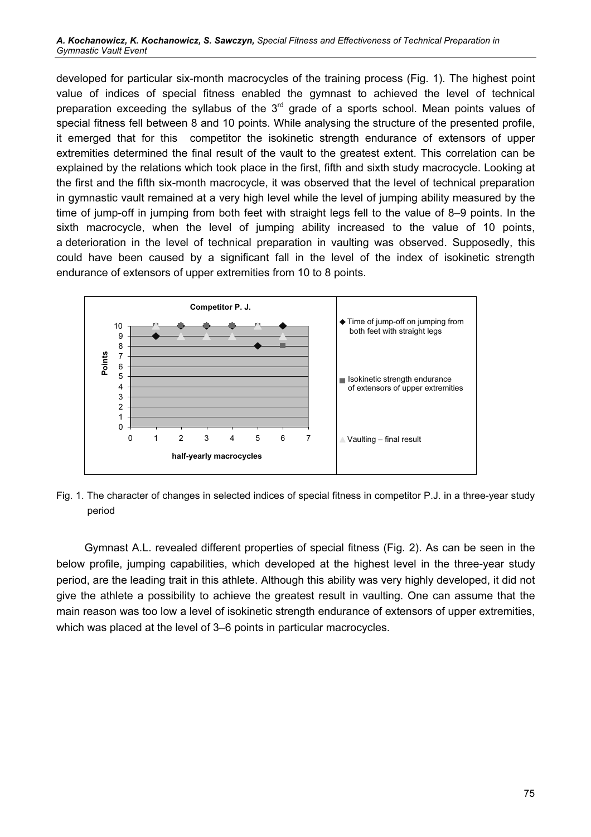developed for particular six-month macrocycles of the training process (Fig. 1). The highest point value of indices of special fitness enabled the gymnast to achieved the level of technical preparation exceeding the syllabus of the  $3<sup>rd</sup>$  grade of a sports school. Mean points values of special fitness fell between 8 and 10 points. While analysing the structure of the presented profile, it emerged that for this competitor the isokinetic strength endurance of extensors of upper extremities determined the final result of the vault to the greatest extent. This correlation can be explained by the relations which took place in the first, fifth and sixth study macrocycle. Looking at the first and the fifth six-month macrocycle, it was observed that the level of technical preparation in gymnastic vault remained at a very high level while the level of jumping ability measured by the time of jump-off in jumping from both feet with straight legs fell to the value of 8–9 points. In the sixth macrocycle, when the level of jumping ability increased to the value of 10 points, a deterioration in the level of technical preparation in vaulting was observed. Supposedly, this could have been caused by a significant fall in the level of the index of isokinetic strength endurance of extensors of upper extremities from 10 to 8 points.



Fig. 1. The character of changes in selected indices of special fitness in competitor P.J. in a three-year study period

Gymnast A.L. revealed different properties of special fitness (Fig. 2). As can be seen in the below profile, jumping capabilities, which developed at the highest level in the three-year study period, are the leading trait in this athlete. Although this ability was very highly developed, it did not give the athlete a possibility to achieve the greatest result in vaulting. One can assume that the main reason was too low a level of isokinetic strength endurance of extensors of upper extremities, which was placed at the level of 3–6 points in particular macrocycles.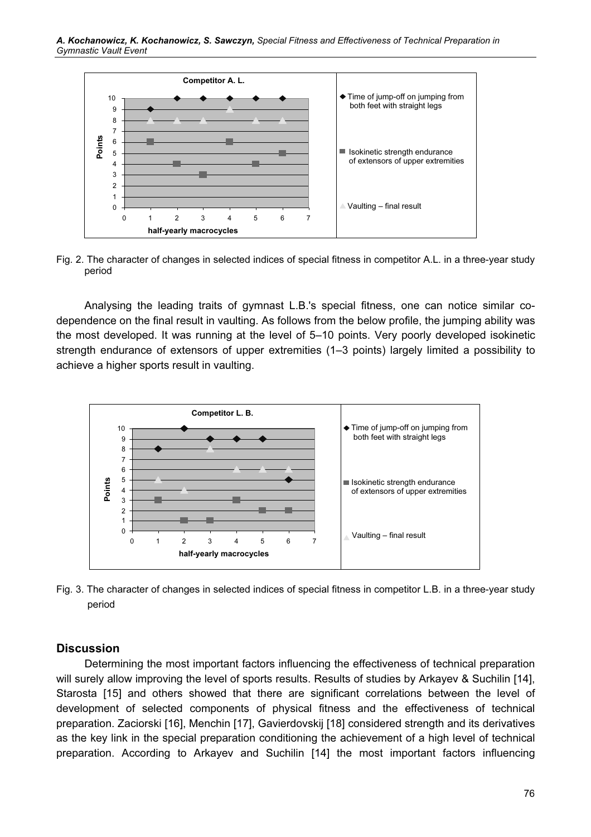

Fig. 2. The character of changes in selected indices of special fitness in competitor A.L. in a three-year study period

Analysing the leading traits of gymnast L.B.'s special fitness, one can notice similar codependence on the final result in vaulting. As follows from the below profile, the jumping ability was the most developed. It was running at the level of 5–10 points. Very poorly developed isokinetic strength endurance of extensors of upper extremities (1–3 points) largely limited a possibility to achieve a higher sports result in vaulting.



Fig. 3. The character of changes in selected indices of special fitness in competitor L.B. in a three-year study period

#### **Discussion**

Determining the most important factors influencing the effectiveness of technical preparation will surely allow improving the level of sports results. Results of studies by Arkayev & Suchilin [14], Starosta [15] and others showed that there are significant correlations between the level of development of selected components of physical fitness and the effectiveness of technical preparation. Zaciorski [16], Menchin [17], Gavierdovskij [18] considered strength and its derivatives as the key link in the special preparation conditioning the achievement of a high level of technical preparation. According to Arkayev and Suchilin [14] the most important factors influencing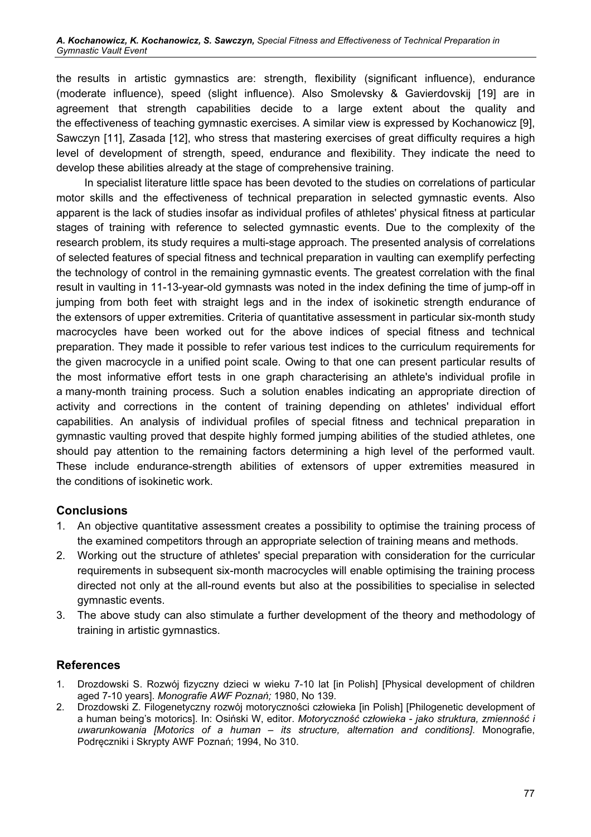the results in artistic gymnastics are: strength, flexibility (significant influence), endurance (moderate influence), speed (slight influence). Also Smolevsky & Gavierdovskij [19] are in agreement that strength capabilities decide to a large extent about the quality and the effectiveness of teaching gymnastic exercises. A similar view is expressed by Kochanowicz [9], Sawczyn [11], Zasada [12], who stress that mastering exercises of great difficulty requires a high level of development of strength, speed, endurance and flexibility. They indicate the need to develop these abilities already at the stage of comprehensive training.

In specialist literature little space has been devoted to the studies on correlations of particular motor skills and the effectiveness of technical preparation in selected gymnastic events. Also apparent is the lack of studies insofar as individual profiles of athletes' physical fitness at particular stages of training with reference to selected gymnastic events. Due to the complexity of the research problem, its study requires a multi-stage approach. The presented analysis of correlations of selected features of special fitness and technical preparation in vaulting can exemplify perfecting the technology of control in the remaining gymnastic events. The greatest correlation with the final result in vaulting in 11-13-year-old gymnasts was noted in the index defining the time of jump-off in jumping from both feet with straight legs and in the index of isokinetic strength endurance of the extensors of upper extremities. Criteria of quantitative assessment in particular six-month study macrocycles have been worked out for the above indices of special fitness and technical preparation. They made it possible to refer various test indices to the curriculum requirements for the given macrocycle in a unified point scale. Owing to that one can present particular results of the most informative effort tests in one graph characterising an athlete's individual profile in a many-month training process. Such a solution enables indicating an appropriate direction of activity and corrections in the content of training depending on athletes' individual effort capabilities. An analysis of individual profiles of special fitness and technical preparation in gymnastic vaulting proved that despite highly formed jumping abilities of the studied athletes, one should pay attention to the remaining factors determining a high level of the performed vault. These include endurance-strength abilities of extensors of upper extremities measured in the conditions of isokinetic work.

#### **Conclusions**

- 1. An objective quantitative assessment creates a possibility to optimise the training process of the examined competitors through an appropriate selection of training means and methods.
- 2. Working out the structure of athletes' special preparation with consideration for the curricular requirements in subsequent six-month macrocycles will enable optimising the training process directed not only at the all-round events but also at the possibilities to specialise in selected gymnastic events.
- 3. The above study can also stimulate a further development of the theory and methodology of training in artistic gymnastics.

### **References**

- 1. Drozdowski S. Rozwój fizyczny dzieci w wieku 7-10 lat [in Polish] [Physical development of children aged 7-10 years]. Monografie AWF Poznań; 1980, No 139.
- 2. Drozdowski Z. Filogenetyczny rozwój motoryczności człowieka [in Polish] [Philogenetic development of a human being's motorics]. In: Osiński W, editor. Motoryczność człowieka - jako struktura, zmienność i uwarunkowania [Motorics of a human – its structure, alternation and conditions]. Monografie, Podręczniki i Skrypty AWF Poznań; 1994, No 310.